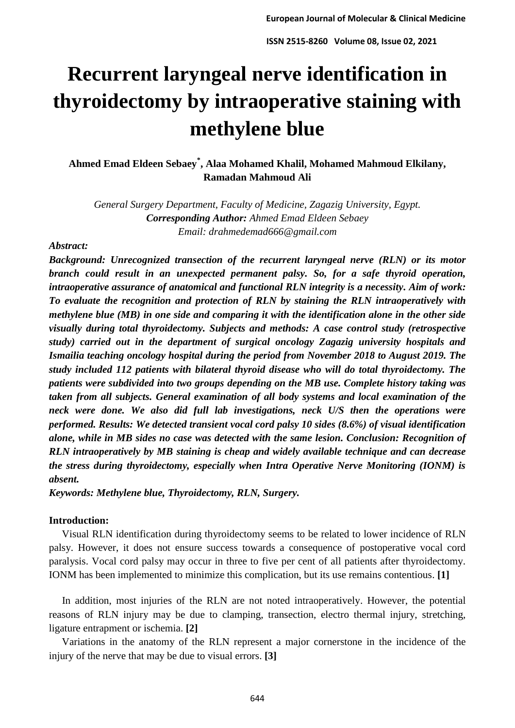# **Recurrent laryngeal nerve identification in thyroidectomy by intraoperative staining with methylene blue**

**Ahmed Emad Eldeen Sebaey\* , Alaa Mohamed Khalil, Mohamed Mahmoud Elkilany, Ramadan Mahmoud Ali**

*General Surgery Department, Faculty of Medicine, Zagazig University, Egypt. Corresponding Author: Ahmed Emad Eldeen Sebaey Email: drahmedemad666@gmail.com*

#### *Abstract:*

*Background: Unrecognized transection of the recurrent laryngeal nerve (RLN) or its motor branch could result in an unexpected permanent palsy. So, for a safe thyroid operation, intraoperative assurance of anatomical and functional RLN integrity is a necessity. Aim of work: To evaluate the recognition and protection of RLN by staining the RLN intraoperatively with methylene blue (MB) in one side and comparing it with the identification alone in the other side visually during total thyroidectomy. Subjects and methods: A case control study (retrospective study) carried out in the department of surgical oncology Zagazig university hospitals and Ismailia teaching oncology hospital during the period from November 2018 to August 2019. The study included 112 patients with bilateral thyroid disease who will do total thyroidectomy. The patients were subdivided into two groups depending on the MB use. Complete history taking was taken from all subjects. General examination of all body systems and local examination of the neck were done. We also did full lab investigations, neck U/S then the operations were performed. Results: We detected transient vocal cord palsy 10 sides (8.6%) of visual identification alone, while in MB sides no case was detected with the same lesion. Conclusion: Recognition of RLN intraoperatively by MB staining is cheap and widely available technique and can decrease the stress during thyroidectomy, especially when Intra Operative Nerve Monitoring (IONM) is absent.* 

*Keywords: Methylene blue, Thyroidectomy, RLN, Surgery.*

## **Introduction:**

Visual RLN identification during thyroidectomy seems to be related to lower incidence of RLN palsy. However, it does not ensure success towards a consequence of postoperative vocal cord paralysis. Vocal cord palsy may occur in three to five per cent of all patients after thyroidectomy. IONM has been implemented to minimize this complication, but its use remains contentious. **[1]**

 In addition, most injuries of the RLN are not noted intraoperatively. However, the potential reasons of RLN injury may be due to clamping, transection, electro thermal injury, stretching, ligature entrapment or ischemia. **[2]**

 Variations in the anatomy of the RLN represent a major cornerstone in the incidence of the injury of the nerve that may be due to visual errors. **[3]**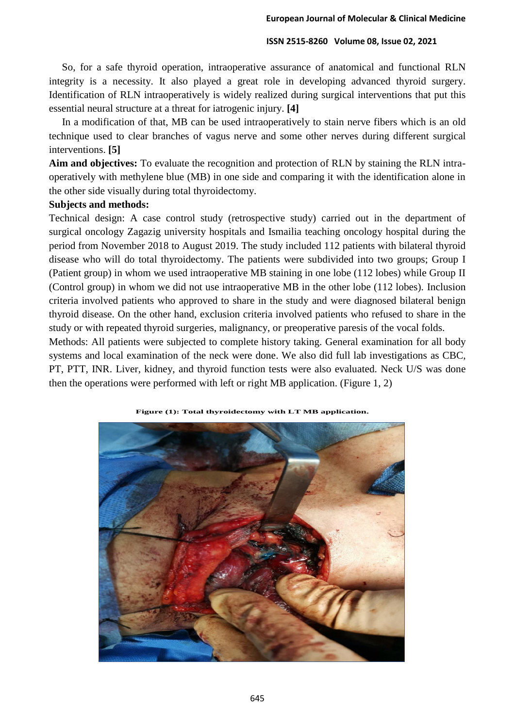So, for a safe thyroid operation, intraoperative assurance of anatomical and functional RLN integrity is a necessity. It also played a great role in developing advanced thyroid surgery. Identification of RLN intraoperatively is widely realized during surgical interventions that put this essential neural structure at a threat for iatrogenic injury. **[4]**

 In a modification of that, MB can be used intraoperatively to stain nerve fibers which is an old technique used to clear branches of vagus nerve and some other nerves during different surgical interventions. **[5]**

**Aim and objectives:** To evaluate the recognition and protection of RLN by staining the RLN intraoperatively with methylene blue (MB) in one side and comparing it with the identification alone in the other side visually during total thyroidectomy.

## **Subjects and methods:**

Technical design: A case control study (retrospective study) carried out in the department of surgical oncology Zagazig university hospitals and Ismailia teaching oncology hospital during the period from November 2018 to August 2019. The study included 112 patients with bilateral thyroid disease who will do total thyroidectomy. The patients were subdivided into two groups; Group I (Patient group) in whom we used intraoperative MB staining in one lobe (112 lobes) while Group II (Control group) in whom we did not use intraoperative MB in the other lobe (112 lobes). Inclusion criteria involved patients who approved to share in the study and were diagnosed bilateral benign thyroid disease. On the other hand, exclusion criteria involved patients who refused to share in the study or with repeated thyroid surgeries, malignancy, or preoperative paresis of the vocal folds.

Methods: All patients were subjected to complete history taking. General examination for all body systems and local examination of the neck were done. We also did full lab investigations as CBC, PT, PTT, INR. Liver, kidney, and thyroid function tests were also evaluated. Neck U/S was done then the operations were performed with left or right MB application. (Figure 1, 2)



**Figure (1): Total thyroidectomy with LT MB application.**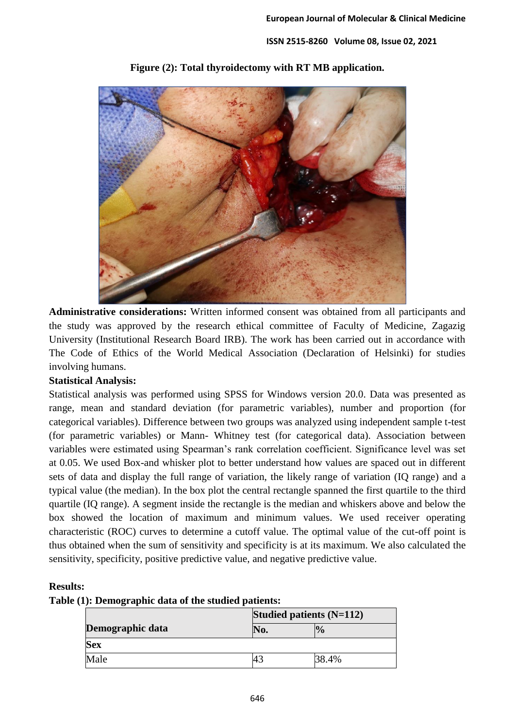

**Figure (2): Total thyroidectomy with RT MB application.**

**Administrative considerations:** Written informed consent was obtained from all participants and the study was approved by the research ethical committee of Faculty of Medicine, Zagazig University (Institutional Research Board IRB). The work has been carried out in accordance with The Code of Ethics of the World Medical Association (Declaration of Helsinki) for studies involving humans.

# **Statistical Analysis:**

Statistical analysis was performed using SPSS for Windows version 20.0. Data was presented as range, mean and standard deviation (for parametric variables), number and proportion (for categorical variables). Difference between two groups was analyzed using independent sample t-test (for parametric variables) or Mann- Whitney test (for categorical data). Association between variables were estimated using Spearman's rank correlation coefficient. Significance level was set at 0.05. We used Box-and whisker plot to better understand how values are spaced out in different sets of data and display the full range of variation, the likely range of variation (IQ range) and a typical value (the median). In the box plot the central rectangle spanned the first quartile to the third quartile (IQ range). A segment inside the rectangle is the median and whiskers above and below the box showed the location of maximum and minimum values. We used receiver operating characteristic (ROC) curves to determine a cutoff value. The optimal value of the cut-off point is thus obtained when the sum of sensitivity and specificity is at its maximum. We also calculated the sensitivity, specificity, positive predictive value, and negative predictive value.

# **Results:**

| Table (1): Demographic data of the studied patients: |  |
|------------------------------------------------------|--|
|------------------------------------------------------|--|

|                  | Studied patients $(N=112)$ |                |  |
|------------------|----------------------------|----------------|--|
| Demographic data | No.                        | $\frac{10}{6}$ |  |
| <b>Sex</b>       |                            |                |  |
| Male             |                            | 38.4%          |  |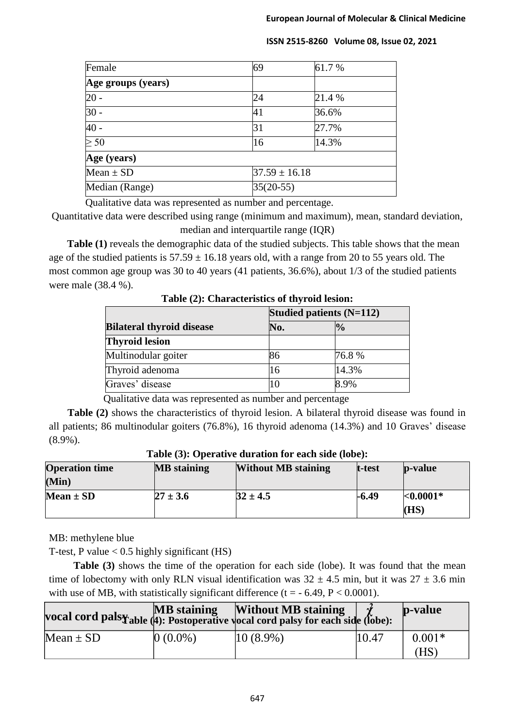| Female             | 69                | 61.7%  |  |
|--------------------|-------------------|--------|--|
| Age groups (years) |                   |        |  |
| $20 -$             | 24                | 21.4 % |  |
| $30 -$             | 41                | 36.6%  |  |
| $40 -$             | 31                | 27.7%  |  |
| > 50               | 16                | 14.3%  |  |
| Age (years)        |                   |        |  |
| Mean $\pm$ SD      | $37.59 \pm 16.18$ |        |  |
| Median (Range)     | $35(20-55)$       |        |  |

Qualitative data was represented as number and percentage.

Quantitative data were described using range (minimum and maximum), mean, standard deviation, median and interquartile range (IQR)

**Table (1)** reveals the demographic data of the studied subjects. This table shows that the mean age of the studied patients is  $57.59 \pm 16.18$  years old, with a range from 20 to 55 years old. The most common age group was 30 to 40 years (41 patients, 36.6%), about 1/3 of the studied patients were male (38.4 %).

| Table (2). Characteristics of thyroid resion. |                            |               |  |
|-----------------------------------------------|----------------------------|---------------|--|
|                                               | Studied patients $(N=112)$ |               |  |
| <b>Bilateral thyroid disease</b>              | No.                        | $\frac{1}{2}$ |  |
| <b>Thyroid lesion</b>                         |                            |               |  |
| Multinodular goiter                           | 86                         | 76.8%         |  |
| Thyroid adenoma                               | 16                         | 14.3%         |  |
| Graves' disease                               | l0                         | 8.9%          |  |

**Table (2): Characteristics of thyroid lesion:**

Qualitative data was represented as number and percentage

**Table (2)** shows the characteristics of thyroid lesion. A bilateral thyroid disease was found in all patients; 86 multinodular goiters (76.8%), 16 thyroid adenoma (14.3%) and 10 Graves' disease (8.9%).

| <b>Operation time</b> | <b>MB</b> staining | <b>Without MB staining</b> | t-test | <b>p</b> -value |
|-----------------------|--------------------|----------------------------|--------|-----------------|
| (Min)                 |                    |                            |        |                 |
| Mean $\pm$ SD         | $27 \pm 3.6$       | $32 \pm 4.5$               | -6.49  | $< 0.0001*$     |
|                       |                    |                            |        | (HS)            |

**Table (3): Operative duration for each side (lobe):**

MB: methylene blue

T-test, P value  $< 0.5$  highly significant (HS)

Table (3) shows the time of the operation for each side (lobe). It was found that the mean time of lobectomy with only RLN visual identification was  $32 \pm 4.5$  min, but it was  $27 \pm 3.6$  min with use of MB, with statistically significant difference ( $t = -6.49$ ,  $P < 0.0001$ ).

|               | <b>MB</b> staining | <b>Without MB staining</b><br>vocal cord pals $\mathbf{\tilde{y}}_{able}$ (4): Postoperative yocal cord palsy for each side (lobe): |       | $\mathbf{p}\text{-value}$ |
|---------------|--------------------|-------------------------------------------------------------------------------------------------------------------------------------|-------|---------------------------|
| Mean $\pm$ SD | $0(0.0\%)$         | $ 10 (8.9\%)$                                                                                                                       | 10.47 | $0.001*$<br>(HS           |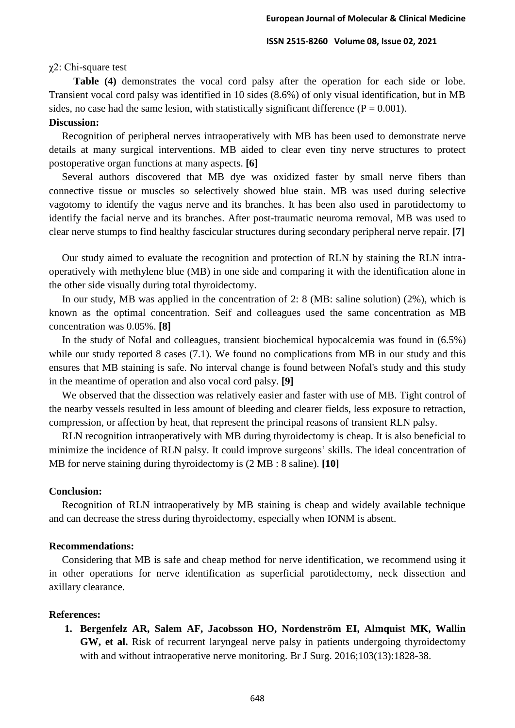#### χ2: Chi-square test

**Table (4)** demonstrates the vocal cord palsy after the operation for each side or lobe. Transient vocal cord palsy was identified in 10 sides (8.6%) of only visual identification, but in MB sides, no case had the same lesion, with statistically significant difference ( $P = 0.001$ ). **Discussion:**

 Recognition of peripheral nerves intraoperatively with MB has been used to demonstrate nerve details at many surgical interventions. MB aided to clear even tiny nerve structures to protect postoperative organ functions at many aspects. **[6]**

 Several authors discovered that MB dye was oxidized faster by small nerve fibers than connective tissue or muscles so selectively showed blue stain. MB was used during selective vagotomy to identify the vagus nerve and its branches. It has been also used in parotidectomy to identify the facial nerve and its branches. After post-traumatic neuroma removal, MB was used to clear nerve stumps to find healthy fascicular structures during secondary peripheral nerve repair. **[7]**

 Our study aimed to evaluate the recognition and protection of RLN by staining the RLN intraoperatively with methylene blue (MB) in one side and comparing it with the identification alone in the other side visually during total thyroidectomy.

 In our study, MB was applied in the concentration of 2: 8 (MB: saline solution) (2%), which is known as the optimal concentration. Seif and colleagues used the same concentration as MB concentration was 0.05%. **[8]**

 In the study of Nofal and colleagues, transient biochemical hypocalcemia was found in (6.5%) while our study reported 8 cases (7.1). We found no complications from MB in our study and this ensures that MB staining is safe. No interval change is found between Nofal's study and this study in the meantime of operation and also vocal cord palsy. **[9]**

 We observed that the dissection was relatively easier and faster with use of MB. Tight control of the nearby vessels resulted in less amount of bleeding and clearer fields, less exposure to retraction, compression, or affection by heat, that represent the principal reasons of transient RLN palsy.

 RLN recognition intraoperatively with MB during thyroidectomy is cheap. It is also beneficial to minimize the incidence of RLN palsy. It could improve surgeons' skills. The ideal concentration of MB for nerve staining during thyroidectomy is (2 MB : 8 saline). **[10]**

## **Conclusion:**

 Recognition of RLN intraoperatively by MB staining is cheap and widely available technique and can decrease the stress during thyroidectomy, especially when IONM is absent.

#### **Recommendations:**

 Considering that MB is safe and cheap method for nerve identification, we recommend using it in other operations for nerve identification as superficial parotidectomy, neck dissection and axillary clearance.

## **References:**

**1. Bergenfelz AR, Salem AF, Jacobsson HO, Nordenström EI, Almquist MK, Wallin GW, et al.** Risk of recurrent laryngeal nerve palsy in patients undergoing thyroidectomy with and without intraoperative nerve monitoring. Br J Surg. 2016;103(13):1828-38.